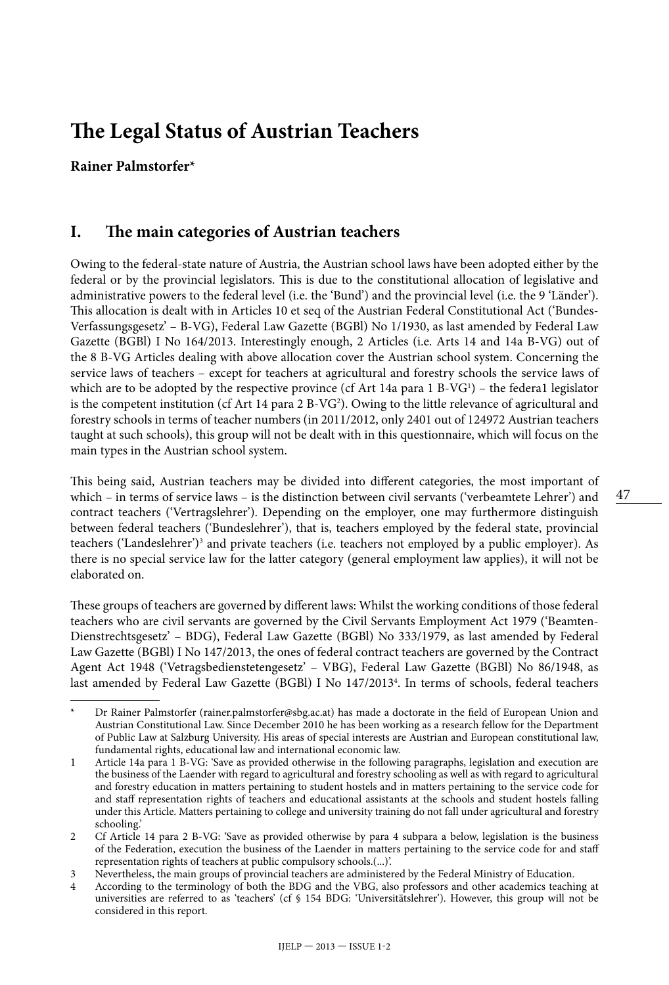# **The Legal Status of Austrian Teachers**

#### **Rainer Palmstorfer\***

#### **I. The main categories of Austrian teachers**

Owing to the federal-state nature of Austria, the Austrian school laws have been adopted either by the federal or by the provincial legislators. This is due to the constitutional allocation of legislative and administrative powers to the federal level (i.e. the 'Bund') and the provincial level (i.e. the 9 'Länder'). This allocation is dealt with in Articles 10 et seq of the Austrian Federal Constitutional Act ('Bundes-Verfassungsgesetz' – B-VG), Federal Law Gazette (BGBl) No 1/1930, as last amended by Federal Law Gazette (BGBl) I No 164/2013. Interestingly enough, 2 Articles (i.e. Arts 14 and 14a B-VG) out of the 8 B-VG Articles dealing with above allocation cover the Austrian school system. Concerning the service laws of teachers – except for teachers at agricultural and forestry schools the service laws of which are to be adopted by the respective province (cf Art 14a para 1 B-VG<sup>1</sup>) – the federa1 legislator is the competent institution (cf Art 14 para 2 B-VG<sup>2</sup>). Owing to the little relevance of agricultural and forestry schools in terms of teacher numbers (in 2011/2012, only 2401 out of 124972 Austrian teachers taught at such schools), this group will not be dealt with in this questionnaire, which will focus on the main types in the Austrian school system.

This being said, Austrian teachers may be divided into different categories, the most important of which – in terms of service laws – is the distinction between civil servants ('verbeamtete Lehrer') and contract teachers ('Vertragslehrer'). Depending on the employer, one may furthermore distinguish between federal teachers ('Bundeslehrer'), that is, teachers employed by the federal state, provincial teachers ('Landeslehrer')<sup>3</sup> and private teachers (i.e. teachers not employed by a public employer). As there is no special service law for the latter category (general employment law applies), it will not be elaborated on.

These groups of teachers are governed by different laws: Whilst the working conditions of those federal teachers who are civil servants are governed by the Civil Servants Employment Act 1979 ('Beamten-Dienstrechtsgesetz' – BDG), Federal Law Gazette (BGBl) No 333/1979, as last amended by Federal Law Gazette (BGBl) I No 147/2013, the ones of federal contract teachers are governed by the Contract Agent Act 1948 ('Vetragsbedienstetengesetz' – VBG), Federal Law Gazette (BGBl) No 86/1948, as last amended by Federal Law Gazette (BGBl) I No 147/20134 . In terms of schools, federal teachers

47

Dr Rainer Palmstorfer ([rainer.palmstorfer@sbg.ac.at](mailto:rainer.palmstorfer@sbg.ac.at)) has made a doctorate in the field of European Union and Austrian Constitutional Law. Since December 2010 he has been working as a research fellow for the Department of Public Law at Salzburg University. His areas of special interests are Austrian and European constitutional law, fundamental rights, educational law and international economic law.

<sup>1</sup> Article 14a para 1 B-VG: 'Save as provided otherwise in the following paragraphs, legislation and execution are the business of the Laender with regard to agricultural and forestry schooling as well as with regard to agricultural and forestry education in matters pertaining to student hostels and in matters pertaining to the service code for and staff representation rights of teachers and educational assistants at the schools and student hostels falling under this Article. Matters pertaining to college and university training do not fall under agricultural and forestry schooling.'

<sup>2</sup> Cf Article 14 para 2 B-VG: 'Save as provided otherwise by para 4 subpara a below, legislation is the business of the Federation, execution the business of the Laender in matters pertaining to the service code for and staff representation rights of teachers at public compulsory schools.(...)'.

<sup>3</sup> Nevertheless, the main groups of provincial teachers are administered by the Federal Ministry of Education.

<sup>4</sup> According to the terminology of both the BDG and the VBG, also professors and other academics teaching at universities are referred to as 'teachers' (cf § 154 BDG: 'Universitätslehrer'). However, this group will not be considered in this report.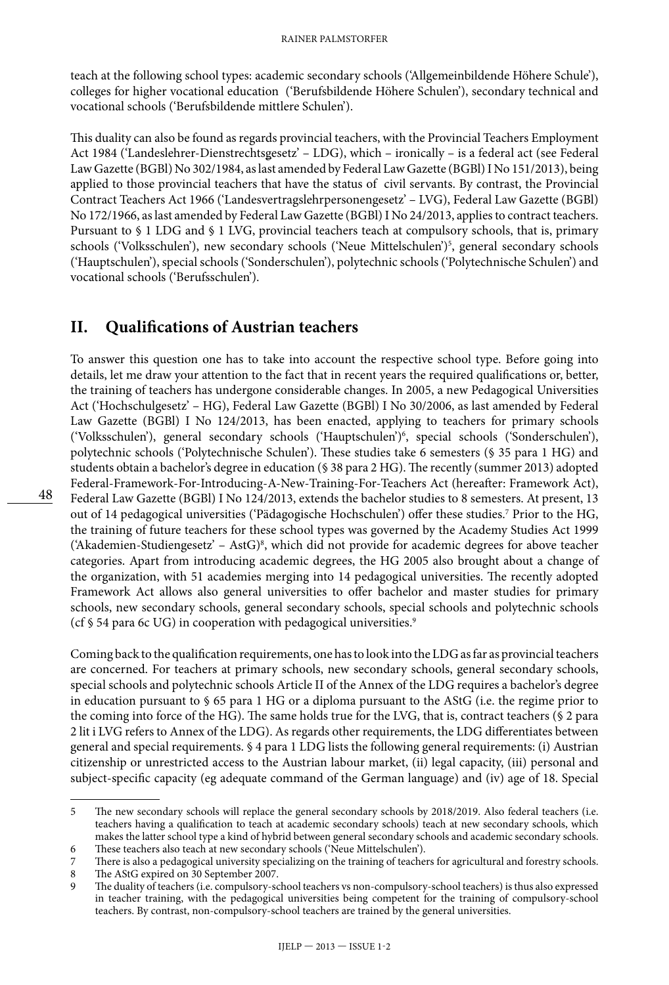teach at the following school types: academic secondary schools ('Allgemeinbildende Höhere Schule'), colleges for higher vocational education ('Berufsbildende Höhere Schulen'), secondary technical and vocational schools ('Berufsbildende mittlere Schulen').

This duality can also be found as regards provincial teachers, with the Provincial Teachers Employment Act 1984 ('Landeslehrer-Dienstrechtsgesetz' – LDG), which – ironically – is a federal act (see Federal Law Gazette (BGBl) No 302/1984, as last amended by Federal Law Gazette (BGBl) I No 151/2013), being applied to those provincial teachers that have the status of civil servants. By contrast, the Provincial Contract Teachers Act 1966 ('Landesvertragslehrpersonengesetz' – LVG), Federal Law Gazette (BGBl) No 172/1966, as last amended by Federal Law Gazette (BGBl) I No 24/2013, applies to contract teachers. Pursuant to § 1 LDG and § 1 LVG, provincial teachers teach at compulsory schools, that is, primary schools ('Volksschulen'), new secondary schools ('Neue Mittelschulen')5 , general secondary schools ('Hauptschulen'), special schools ('Sonderschulen'), polytechnic schools ('Polytechnische Schulen') and vocational schools ('Berufsschulen').

#### **II. Qualifications of Austrian teachers**

48

To answer this question one has to take into account the respective school type. Before going into details, let me draw your attention to the fact that in recent years the required qualifications or, better, the training of teachers has undergone considerable changes. In 2005, a new Pedagogical Universities Act ('Hochschulgesetz' – HG), Federal Law Gazette (BGBl) I No 30/2006, as last amended by Federal Law Gazette (BGBl) I No 124/2013, has been enacted, applying to teachers for primary schools ('Volksschulen'), general secondary schools ('Hauptschulen')6 , special schools ('Sonderschulen'), polytechnic schools ('Polytechnische Schulen'). These studies take 6 semesters (§ 35 para 1 HG) and students obtain a bachelor's degree in education (§ 38 para 2 HG). The recently (summer 2013) adopted Federal-Framework-For-Introducing-A-New-Training-For-Teachers Act (hereafter: Framework Act), Federal Law Gazette (BGBl) I No 124/2013, extends the bachelor studies to 8 semesters. At present, 13 out of 14 pedagogical universities ('Pädagogische Hochschulen') offer these studies.7 Prior to the HG, the training of future teachers for these school types was governed by the Academy Studies Act 1999 ('Akademien-Studiengesetz' – AstG) $^8$ , which did not provide for academic degrees for above teacher categories. Apart from introducing academic degrees, the HG 2005 also brought about a change of the organization, with 51 academies merging into 14 pedagogical universities. The recently adopted Framework Act allows also general universities to offer bachelor and master studies for primary schools, new secondary schools, general secondary schools, special schools and polytechnic schools (cf  $\S$  54 para 6c UG) in cooperation with pedagogical universities.<sup>9</sup>

Coming back to the qualification requirements, one has to look into the LDG as far as provincial teachers are concerned. For teachers at primary schools, new secondary schools, general secondary schools, special schools and polytechnic schools Article II of the Annex of the LDG requires a bachelor's degree in education pursuant to § 65 para 1 HG or a diploma pursuant to the AStG (i.e. the regime prior to the coming into force of the HG). The same holds true for the LVG, that is, contract teachers (§ 2 para 2 lit i LVG refers to Annex of the LDG). As regards other requirements, the LDG differentiates between general and special requirements. § 4 para 1 LDG lists the following general requirements: (i) Austrian citizenship or unrestricted access to the Austrian labour market, (ii) legal capacity, (iii) personal and subject-specific capacity (eg adequate command of the German language) and (iv) age of 18. Special

<sup>5</sup> The new secondary schools will replace the general secondary schools by 2018/2019. Also federal teachers (i.e. teachers having a qualification to teach at academic secondary schools) teach at new secondary schools, which makes the latter school type a kind of hybrid between general secondary schools and academic secondary schools.

<sup>6</sup> These teachers also teach at new secondary schools ('Neue Mittelschulen').

<sup>7</sup> There is also a pedagogical university specializing on the training of teachers for agricultural and forestry schools.<br>The AStG expired on 30 September 2007.

The AStG expired on 30 September 2007.

The duality of teachers (i.e. compulsory-school teachers vs non-compulsory-school teachers) is thus also expressed in teacher training, with the pedagogical universities being competent for the training of compulsory-school teachers. By contrast, non-compulsory-school teachers are trained by the general universities.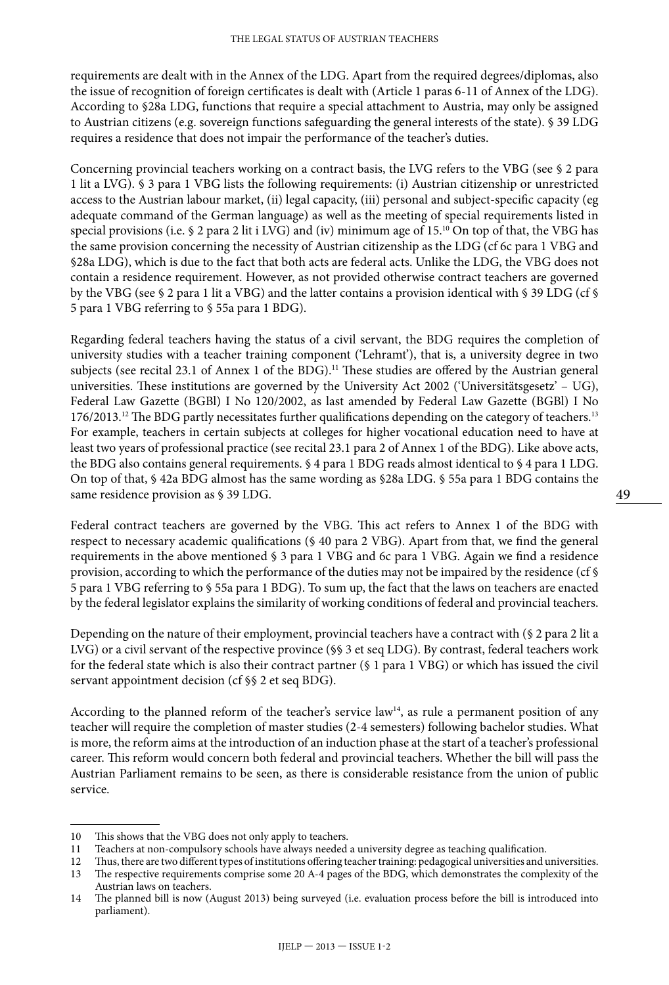requirements are dealt with in the Annex of the LDG. Apart from the required degrees/diplomas, also the issue of recognition of foreign certificates is dealt with (Article 1 paras 6-11 of Annex of the LDG). According to §28a LDG, functions that require a special attachment to Austria, may only be assigned to Austrian citizens (e.g. sovereign functions safeguarding the general interests of the state). § 39 LDG requires a residence that does not impair the performance of the teacher's duties.

Concerning provincial teachers working on a contract basis, the LVG refers to the VBG (see § 2 para 1 lit a LVG). § 3 para 1 VBG lists the following requirements: (i) Austrian citizenship or unrestricted access to the Austrian labour market, (ii) legal capacity, (iii) personal and subject-specific capacity (eg adequate command of the German language) as well as the meeting of special requirements listed in special provisions (i.e. § 2 para 2 lit i LVG) and (iv) minimum age of 15.10 On top of that, the VBG has the same provision concerning the necessity of Austrian citizenship as the LDG (cf 6c para 1 VBG and §28a LDG), which is due to the fact that both acts are federal acts. Unlike the LDG, the VBG does not contain a residence requirement. However, as not provided otherwise contract teachers are governed by the VBG (see § 2 para 1 lit a VBG) and the latter contains a provision identical with § 39 LDG (cf § 5 para 1 VBG referring to § 55a para 1 BDG).

Regarding federal teachers having the status of a civil servant, the BDG requires the completion of university studies with a teacher training component ('Lehramt'), that is, a university degree in two subjects (see recital 23.1 of Annex 1 of the BDG).<sup>11</sup> These studies are offered by the Austrian general universities. These institutions are governed by the University Act 2002 ('Universitätsgesetz' – UG), Federal Law Gazette (BGBl) I No 120/2002, as last amended by Federal Law Gazette (BGBl) I No 176/2013.<sup>12</sup> The BDG partly necessitates further qualifications depending on the category of teachers.<sup>13</sup> For example, teachers in certain subjects at colleges for higher vocational education need to have at least two years of professional practice (see recital 23.1 para 2 of Annex 1 of the BDG). Like above acts, the BDG also contains general requirements. § 4 para 1 BDG reads almost identical to § 4 para 1 LDG. On top of that, § 42a BDG almost has the same wording as §28a LDG. § 55a para 1 BDG contains the same residence provision as § 39 LDG.

Federal contract teachers are governed by the VBG. This act refers to Annex 1 of the BDG with respect to necessary academic qualifications (§ 40 para 2 VBG). Apart from that, we find the general requirements in the above mentioned § 3 para 1 VBG and 6c para 1 VBG. Again we find a residence provision, according to which the performance of the duties may not be impaired by the residence (cf § 5 para 1 VBG referring to § 55a para 1 BDG). To sum up, the fact that the laws on teachers are enacted by the federal legislator explains the similarity of working conditions of federal and provincial teachers.

Depending on the nature of their employment, provincial teachers have a contract with (§ 2 para 2 lit a LVG) or a civil servant of the respective province (§§ 3 et seq LDG). By contrast, federal teachers work for the federal state which is also their contract partner (§ 1 para 1 VBG) or which has issued the civil servant appointment decision (cf §§ 2 et seq BDG).

According to the planned reform of the teacher's service law<sup>14</sup>, as rule a permanent position of any teacher will require the completion of master studies (2-4 semesters) following bachelor studies. What is more, the reform aims at the introduction of an induction phase at the start of a teacher's professional career. This reform would concern both federal and provincial teachers. Whether the bill will pass the Austrian Parliament remains to be seen, as there is considerable resistance from the union of public service.

<sup>10</sup> This shows that the VBG does not only apply to teachers.

<sup>11</sup> Teachers at non-compulsory schools have always needed a university degree as teaching qualification.

<sup>12</sup> Thus, there are two different types of institutions offering teacher training: pedagogical universities and universities.<br>13 The respective requirements comprise some 20 A-4 pages of the BDG, which demonstrates the comp

<sup>13</sup> The respective requirements comprise some 20 A-4 pages of the BDG, which demonstrates the complexity of the Austrian laws on teachers.

<sup>14</sup> The planned bill is now (August 2013) being surveyed (i.e. evaluation process before the bill is introduced into parliament).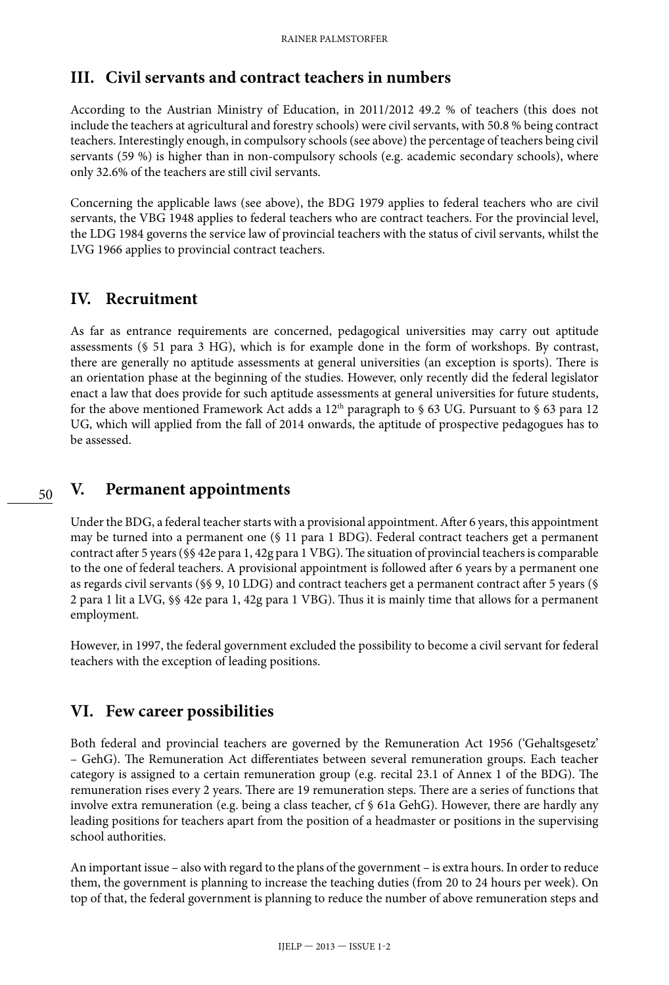# **III. Civil servants and contract teachers in numbers**

According to the Austrian Ministry of Education, in 2011/2012 49.2 % of teachers (this does not include the teachers at agricultural and forestry schools) were civil servants, with 50.8 % being contract teachers. Interestingly enough, in compulsory schools (see above) the percentage of teachers being civil servants (59 %) is higher than in non-compulsory schools (e.g. academic secondary schools), where only 32.6% of the teachers are still civil servants.

Concerning the applicable laws (see above), the BDG 1979 applies to federal teachers who are civil servants, the VBG 1948 applies to federal teachers who are contract teachers. For the provincial level, the LDG 1984 governs the service law of provincial teachers with the status of civil servants, whilst the LVG 1966 applies to provincial contract teachers.

# **IV. Recruitment**

As far as entrance requirements are concerned, pedagogical universities may carry out aptitude assessments (§ 51 para 3 HG), which is for example done in the form of workshops. By contrast, there are generally no aptitude assessments at general universities (an exception is sports). There is an orientation phase at the beginning of the studies. However, only recently did the federal legislator enact a law that does provide for such aptitude assessments at general universities for future students, for the above mentioned Framework Act adds a  $12<sup>th</sup>$  paragraph to § 63 UG. Pursuant to § 63 para 12 UG, which will applied from the fall of 2014 onwards, the aptitude of prospective pedagogues has to be assessed.

#### **V. Permanent appointments**

Under the BDG, a federal teacher starts with a provisional appointment. After 6 years, this appointment may be turned into a permanent one (§ 11 para 1 BDG). Federal contract teachers get a permanent contract after 5 years (§§ 42e para 1, 42g para 1 VBG). The situation of provincial teachers is comparable to the one of federal teachers. A provisional appointment is followed after 6 years by a permanent one as regards civil servants (§§ 9, 10 LDG) and contract teachers get a permanent contract after 5 years (§ 2 para 1 lit a LVG, §§ 42e para 1, 42g para 1 VBG). Thus it is mainly time that allows for a permanent employment.

However, in 1997, the federal government excluded the possibility to become a civil servant for federal teachers with the exception of leading positions.

#### **VI. Few career possibilities**

Both federal and provincial teachers are governed by the Remuneration Act 1956 ('Gehaltsgesetz' – GehG). The Remuneration Act differentiates between several remuneration groups. Each teacher category is assigned to a certain remuneration group (e.g. recital 23.1 of Annex 1 of the BDG). The remuneration rises every 2 years. There are 19 remuneration steps. There are a series of functions that involve extra remuneration (e.g. being a class teacher, cf § 61a GehG). However, there are hardly any leading positions for teachers apart from the position of a headmaster or positions in the supervising school authorities.

An important issue – also with regard to the plans of the government – is extra hours. In order to reduce them, the government is planning to increase the teaching duties (from 20 to 24 hours per week). On top of that, the federal government is planning to reduce the number of above remuneration steps and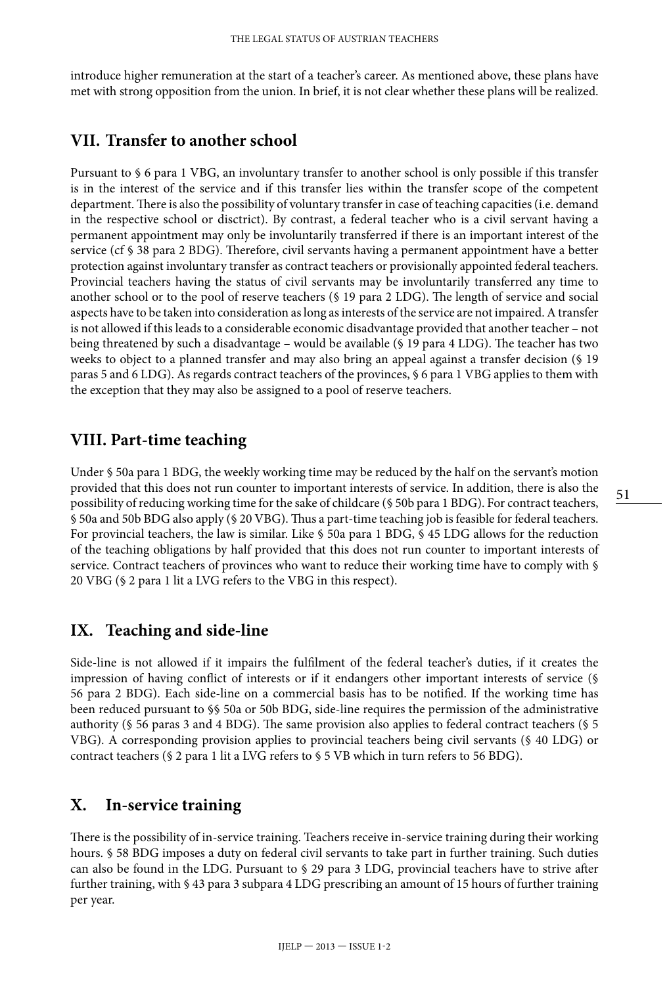introduce higher remuneration at the start of a teacher's career. As mentioned above, these plans have met with strong opposition from the union. In brief, it is not clear whether these plans will be realized.

### **VII. Transfer to another school**

Pursuant to § 6 para 1 VBG, an involuntary transfer to another school is only possible if this transfer is in the interest of the service and if this transfer lies within the transfer scope of the competent department. There is also the possibility of voluntary transfer in case of teaching capacities (i.e. demand in the respective school or disctrict). By contrast, a federal teacher who is a civil servant having a permanent appointment may only be involuntarily transferred if there is an important interest of the service (cf § 38 para 2 BDG). Therefore, civil servants having a permanent appointment have a better protection against involuntary transfer as contract teachers or provisionally appointed federal teachers. Provincial teachers having the status of civil servants may be involuntarily transferred any time to another school or to the pool of reserve teachers (§ 19 para 2 LDG). The length of service and social aspects have to be taken into consideration as long as interests of the service are not impaired. A transfer is not allowed if this leads to a considerable economic disadvantage provided that another teacher – not being threatened by such a disadvantage – would be available (§ 19 para 4 LDG). The teacher has two weeks to object to a planned transfer and may also bring an appeal against a transfer decision (§ 19 paras 5 and 6 LDG). As regards contract teachers of the provinces, § 6 para 1 VBG applies to them with the exception that they may also be assigned to a pool of reserve teachers.

# **VIII. Part-time teaching**

Under § 50a para 1 BDG, the weekly working time may be reduced by the half on the servant's motion provided that this does not run counter to important interests of service. In addition, there is also the possibility of reducing working time for the sake of childcare (§ 50b para 1 BDG). For contract teachers, § 50a and 50b BDG also apply (§ 20 VBG). Thus a part-time teaching job is feasible for federal teachers. For provincial teachers, the law is similar. Like § 50a para 1 BDG, § 45 LDG allows for the reduction of the teaching obligations by half provided that this does not run counter to important interests of service. Contract teachers of provinces who want to reduce their working time have to comply with § 20 VBG (§ 2 para 1 lit a LVG refers to the VBG in this respect).

# **IX. Teaching and side-line**

Side-line is not allowed if it impairs the fulfilment of the federal teacher's duties, if it creates the impression of having conflict of interests or if it endangers other important interests of service (§ 56 para 2 BDG). Each side-line on a commercial basis has to be notified. If the working time has been reduced pursuant to §§ 50a or 50b BDG, side-line requires the permission of the administrative authority (§ 56 paras 3 and 4 BDG). The same provision also applies to federal contract teachers (§ 5 VBG). A corresponding provision applies to provincial teachers being civil servants (§ 40 LDG) or contract teachers (§ 2 para 1 lit a LVG refers to § 5 VB which in turn refers to 56 BDG).

#### **X. In-service training**

There is the possibility of in-service training. Teachers receive in-service training during their working hours. § 58 BDG imposes a duty on federal civil servants to take part in further training. Such duties can also be found in the LDG. Pursuant to § 29 para 3 LDG, provincial teachers have to strive after further training, with § 43 para 3 subpara 4 LDG prescribing an amount of 15 hours of further training per year.

51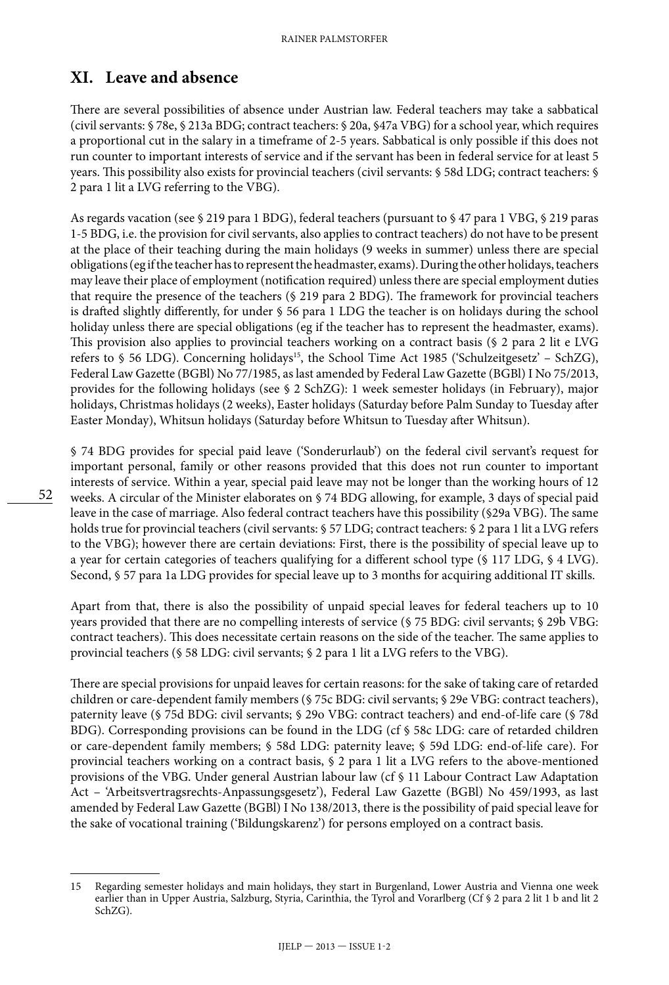# **XI. Leave and absence**

There are several possibilities of absence under Austrian law. Federal teachers may take a sabbatical (civil servants: § 78e, § 213a BDG; contract teachers: § 20a, §47a VBG) for a school year, which requires a proportional cut in the salary in a timeframe of 2-5 years. Sabbatical is only possible if this does not run counter to important interests of service and if the servant has been in federal service for at least 5 years. This possibility also exists for provincial teachers (civil servants: § 58d LDG; contract teachers: § 2 para 1 lit a LVG referring to the VBG).

As regards vacation (see § 219 para 1 BDG), federal teachers (pursuant to § 47 para 1 VBG, § 219 paras 1-5 BDG, i.e. the provision for civil servants, also applies to contract teachers) do not have to be present at the place of their teaching during the main holidays (9 weeks in summer) unless there are special obligations (eg if the teacher has to represent the headmaster, exams). During the other holidays, teachers may leave their place of employment (notification required) unless there are special employment duties that require the presence of the teachers (§ 219 para 2 BDG). The framework for provincial teachers is drafted slightly differently, for under § 56 para 1 LDG the teacher is on holidays during the school holiday unless there are special obligations (eg if the teacher has to represent the headmaster, exams). This provision also applies to provincial teachers working on a contract basis (§ 2 para 2 lit e LVG refers to § 56 LDG). Concerning holidays<sup>15</sup>, the School Time Act 1985 ('Schulzeitgesetz' - SchZG), Federal Law Gazette (BGBl) No 77/1985, as last amended by Federal Law Gazette (BGBl) I No 75/2013, provides for the following holidays (see § 2 SchZG): 1 week semester holidays (in February), major holidays, Christmas holidays (2 weeks), Easter holidays (Saturday before Palm Sunday to Tuesday after Easter Monday), Whitsun holidays (Saturday before Whitsun to Tuesday after Whitsun).

§ 74 BDG provides for special paid leave ('Sonderurlaub') on the federal civil servant's request for important personal, family or other reasons provided that this does not run counter to important interests of service. Within a year, special paid leave may not be longer than the working hours of 12 weeks. A circular of the Minister elaborates on § 74 BDG allowing, for example, 3 days of special paid leave in the case of marriage. Also federal contract teachers have this possibility (§29a VBG). The same holds true for provincial teachers (civil servants: § 57 LDG; contract teachers: § 2 para 1 lit a LVG refers to the VBG); however there are certain deviations: First, there is the possibility of special leave up to a year for certain categories of teachers qualifying for a different school type (§ 117 LDG, § 4 LVG). Second, § 57 para 1a LDG provides for special leave up to 3 months for acquiring additional IT skills.

Apart from that, there is also the possibility of unpaid special leaves for federal teachers up to 10 years provided that there are no compelling interests of service (§ 75 BDG: civil servants; § 29b VBG: contract teachers). This does necessitate certain reasons on the side of the teacher. The same applies to provincial teachers (§ 58 LDG: civil servants; § 2 para 1 lit a LVG refers to the VBG).

There are special provisions for unpaid leaves for certain reasons: for the sake of taking care of retarded children or care-dependent family members (§ 75c BDG: civil servants; § 29e VBG: contract teachers), paternity leave (§ 75d BDG: civil servants; § 29o VBG: contract teachers) and end-of-life care (§ 78d BDG). Corresponding provisions can be found in the LDG (cf § 58c LDG: care of retarded children or care-dependent family members; § 58d LDG: paternity leave; § 59d LDG: end-of-life care). For provincial teachers working on a contract basis, § 2 para 1 lit a LVG refers to the above-mentioned provisions of the VBG. Under general Austrian labour law (cf § 11 Labour Contract Law Adaptation Act – 'Arbeitsvertragsrechts-Anpassungsgesetz'), Federal Law Gazette (BGBl) No 459/1993, as last amended by Federal Law Gazette (BGBl) I No 138/2013, there is the possibility of paid special leave for the sake of vocational training ('Bildungskarenz') for persons employed on a contract basis.

<sup>15</sup> Regarding semester holidays and main holidays, they start in Burgenland, Lower Austria and Vienna one week earlier than in Upper Austria, Salzburg, Styria, Carinthia, the Tyrol and Vorarlberg (Cf § 2 para 2 lit 1 b and lit 2 SchZG).